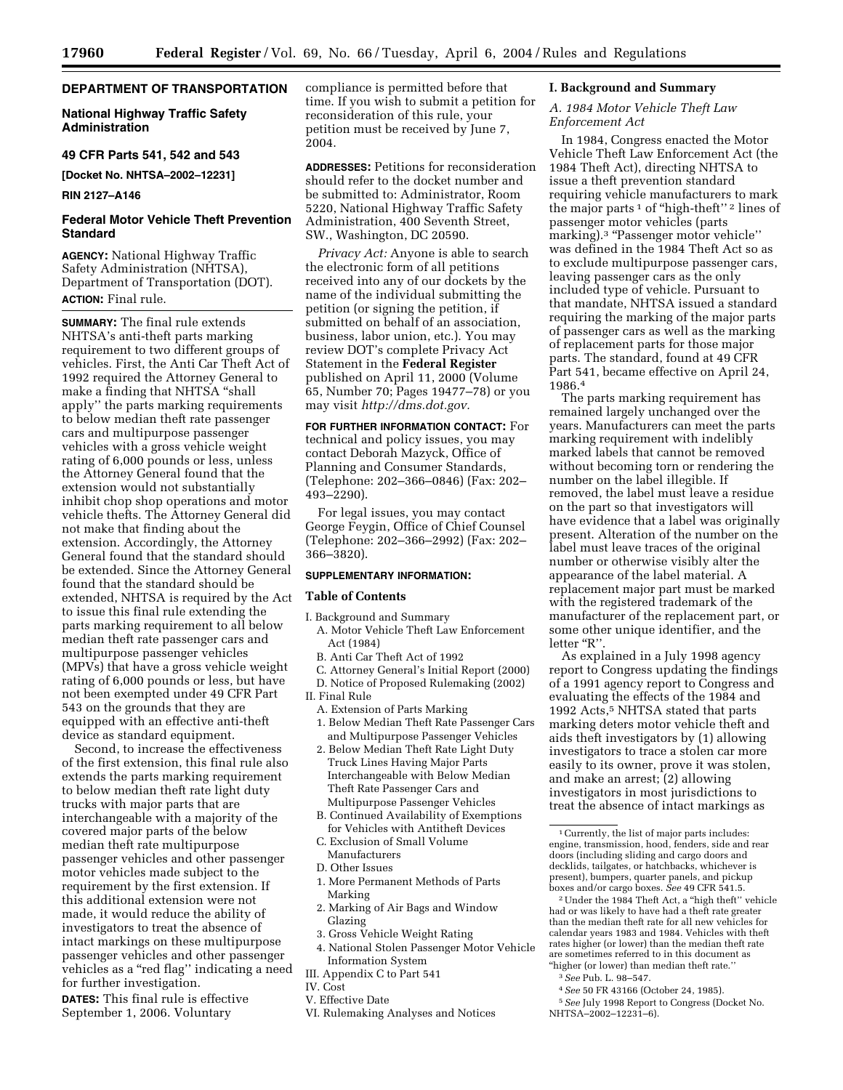# **DEPARTMENT OF TRANSPORTATION**

# **National Highway Traffic Safety Administration**

### **49 CFR Parts 541, 542 and 543**

**[Docket No. NHTSA–2002–12231]** 

### **RIN 2127–A146**

# **Federal Motor Vehicle Theft Prevention Standard**

**AGENCY:** National Highway Traffic Safety Administration (NHTSA), Department of Transportation (DOT). **ACTION:** Final rule.

**SUMMARY:** The final rule extends NHTSA's anti-theft parts marking requirement to two different groups of vehicles. First, the Anti Car Theft Act of 1992 required the Attorney General to make a finding that NHTSA ''shall apply'' the parts marking requirements to below median theft rate passenger cars and multipurpose passenger vehicles with a gross vehicle weight rating of 6,000 pounds or less, unless the Attorney General found that the extension would not substantially inhibit chop shop operations and motor vehicle thefts. The Attorney General did not make that finding about the extension. Accordingly, the Attorney General found that the standard should be extended. Since the Attorney General found that the standard should be extended, NHTSA is required by the Act to issue this final rule extending the parts marking requirement to all below median theft rate passenger cars and multipurpose passenger vehicles (MPVs) that have a gross vehicle weight rating of 6,000 pounds or less, but have not been exempted under 49 CFR Part 543 on the grounds that they are equipped with an effective anti-theft device as standard equipment.

Second, to increase the effectiveness of the first extension, this final rule also extends the parts marking requirement to below median theft rate light duty trucks with major parts that are interchangeable with a majority of the covered major parts of the below median theft rate multipurpose passenger vehicles and other passenger motor vehicles made subject to the requirement by the first extension. If this additional extension were not made, it would reduce the ability of investigators to treat the absence of intact markings on these multipurpose passenger vehicles and other passenger vehicles as a ''red flag'' indicating a need for further investigation.

**DATES:** This final rule is effective September 1, 2006. Voluntary

compliance is permitted before that time. If you wish to submit a petition for reconsideration of this rule, your petition must be received by June 7, 2004.

**ADDRESSES:** Petitions for reconsideration should refer to the docket number and be submitted to: Administrator, Room 5220, National Highway Traffic Safety Administration, 400 Seventh Street, SW., Washington, DC 20590.

*Privacy Act:* Anyone is able to search the electronic form of all petitions received into any of our dockets by the name of the individual submitting the petition (or signing the petition, if submitted on behalf of an association, business, labor union, etc.). You may review DOT's complete Privacy Act Statement in the **Federal Register**  published on April 11, 2000 (Volume 65, Number 70; Pages 19477–78) or you may visit *[http://dms.dot.gov.](http://dms.dot.gov)* 

**FOR FURTHER INFORMATION CONTACT:** For technical and policy issues, you may contact Deborah Mazyck, Office of Planning and Consumer Standards, (Telephone: 202–366–0846) (Fax: 202– 493–2290).

For legal issues, you may contact George Feygin, Office of Chief Counsel (Telephone: 202–366–2992) (Fax: 202– 366–3820).

# **SUPPLEMENTARY INFORMATION:**

#### **Table of Contents**

- I. Background and Summary A. Motor Vehicle Theft Law Enforcement Act (1984)
	- B. Anti Car Theft Act of 1992
	- C. Attorney General's Initial Report (2000)
- D. Notice of Proposed Rulemaking (2002)
- II. Final Rule
	- A. Extension of Parts Marking
	- 1. Below Median Theft Rate Passenger Cars and Multipurpose Passenger Vehicles
	- 2. Below Median Theft Rate Light Duty Truck Lines Having Major Parts Interchangeable with Below Median Theft Rate Passenger Cars and Multipurpose Passenger Vehicles
	- B. Continued Availability of Exemptions for Vehicles with Antitheft Devices
	- C. Exclusion of Small Volume Manufacturers
	- D. Other Issues
	- 1. More Permanent Methods of Parts Marking
- 2. Marking of Air Bags and Window Glazing
- 3. Gross Vehicle Weight Rating
- 4. National Stolen Passenger Motor Vehicle Information System
- III. Appendix C to Part 541
- IV. Cost
- V. Effective Date
- VI. Rulemaking Analyses and Notices

### **I. Background and Summary**

### *A. 1984 Motor Vehicle Theft Law Enforcement Act*

In 1984, Congress enacted the Motor Vehicle Theft Law Enforcement Act (the 1984 Theft Act), directing NHTSA to issue a theft prevention standard requiring vehicle manufacturers to mark the major parts<sup>1</sup> of "high-theft"<sup>2</sup> lines of passenger motor vehicles (parts marking).<sup>3</sup> "Passenger motor vehicle" was defined in the 1984 Theft Act so as to exclude multipurpose passenger cars, leaving passenger cars as the only included type of vehicle. Pursuant to that mandate, NHTSA issued a standard requiring the marking of the major parts of passenger cars as well as the marking of replacement parts for those major parts. The standard, found at 49 CFR Part 541, became effective on April 24, 1986.4

The parts marking requirement has remained largely unchanged over the years. Manufacturers can meet the parts marking requirement with indelibly marked labels that cannot be removed without becoming torn or rendering the number on the label illegible. If removed, the label must leave a residue on the part so that investigators will have evidence that a label was originally present. Alteration of the number on the label must leave traces of the original number or otherwise visibly alter the appearance of the label material. A replacement major part must be marked with the registered trademark of the manufacturer of the replacement part, or some other unique identifier, and the letter "R".

As explained in a July 1998 agency report to Congress updating the findings of a 1991 agency report to Congress and evaluating the effects of the 1984 and 1992 Acts,<sup>5</sup> NHTSA stated that parts marking deters motor vehicle theft and aids theft investigators by (1) allowing investigators to trace a stolen car more easily to its owner, prove it was stolen, and make an arrest; (2) allowing investigators in most jurisdictions to treat the absence of intact markings as

2Under the 1984 Theft Act, a ''high theft'' vehicle had or was likely to have had a theft rate greater than the median theft rate for all new vehicles for calendar years 1983 and 1984. Vehicles with theft rates higher (or lower) than the median theft rate are sometimes referred to in this document as ''higher (or lower) than median theft rate.''

3*See* Pub. L. 98–547.

- 4*See* 50 FR 43166 (October 24, 1985).
- 5*See* July 1998 Report to Congress (Docket No. NHTSA–2002–12231–6).

 $^{\rm 1}$  Currently, the list of major parts includes: engine, transmission, hood, fenders, side and rear doors (including sliding and cargo doors and decklids, tailgates, or hatchbacks, whichever is present), bumpers, quarter panels, and pickup boxes and/or cargo boxes. *See* 49 CFR 541.5.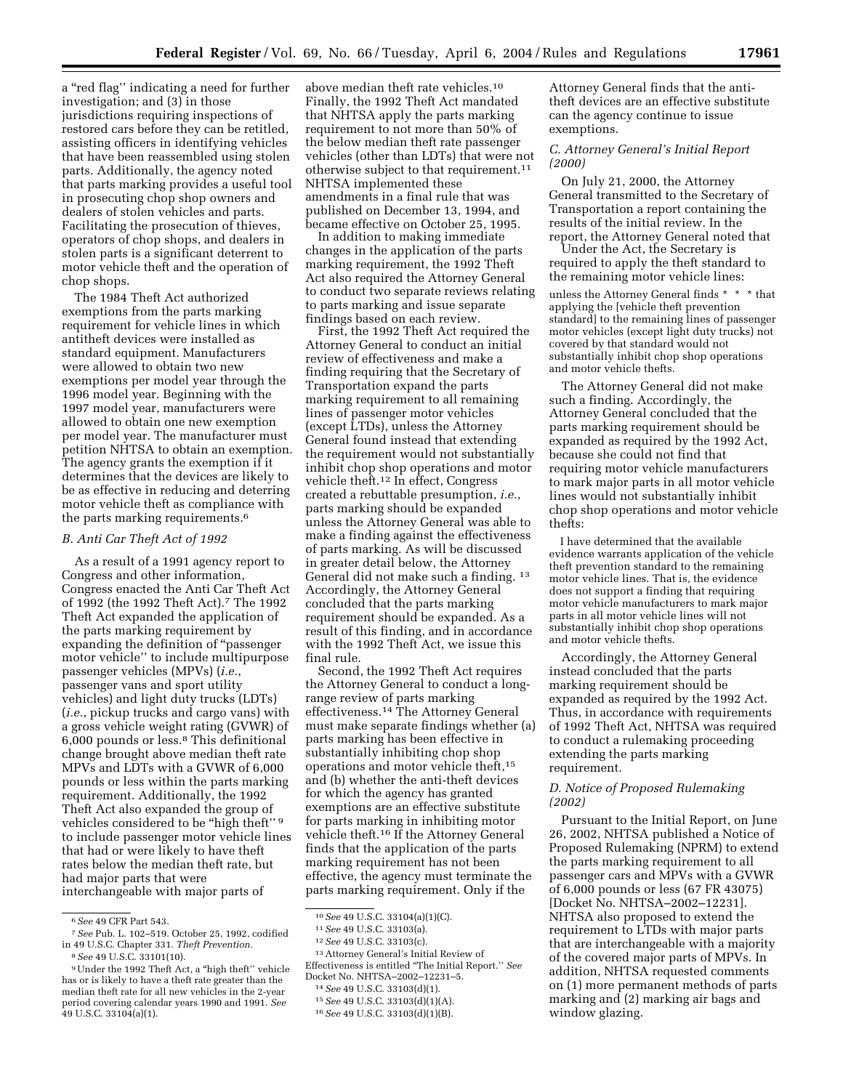a ''red flag'' indicating a need for further investigation; and (3) in those jurisdictions requiring inspections of restored cars before they can be retitled, assisting officers in identifying vehicles that have been reassembled using stolen parts. Additionally, the agency noted that parts marking provides a useful tool in prosecuting chop shop owners and dealers of stolen vehicles and parts. Facilitating the prosecution of thieves, operators of chop shops, and dealers in stolen parts is a significant deterrent to motor vehicle theft and the operation of chop shops.

The 1984 Theft Act authorized exemptions from the parts marking requirement for vehicle lines in which antitheft devices were installed as standard equipment. Manufacturers were allowed to obtain two new exemptions per model year through the 1996 model year. Beginning with the 1997 model year, manufacturers were allowed to obtain one new exemption per model year. The manufacturer must petition NHTSA to obtain an exemption. The agency grants the exemption if it determines that the devices are likely to be as effective in reducing and deterring motor vehicle theft as compliance with the parts marking requirements.6

# *B. Anti Car Theft Act of 1992*

As a result of a 1991 agency report to Congress and other information, Congress enacted the Anti Car Theft Act of 1992 (the 1992 Theft Act).7 The 1992 Theft Act expanded the application of the parts marking requirement by expanding the definition of ''passenger motor vehicle'' to include multipurpose passenger vehicles (MPVs) (*i.e.*, passenger vans and sport utility vehicles) and light duty trucks (LDTs) (*i.e.*, pickup trucks and cargo vans) with a gross vehicle weight rating (GVWR) of 6,000 pounds or less.8 This definitional change brought above median theft rate MPVs and LDTs with a GVWR of 6,000 pounds or less within the parts marking requirement. Additionally, the 1992 Theft Act also expanded the group of vehicles considered to be "high theft"<sup>9</sup> to include passenger motor vehicle lines that had or were likely to have theft rates below the median theft rate, but had major parts that were interchangeable with major parts of

above median theft rate vehicles.10 Finally, the 1992 Theft Act mandated that NHTSA apply the parts marking requirement to not more than 50% of the below median theft rate passenger vehicles (other than LDTs) that were not otherwise subject to that requirement.11 NHTSA implemented these amendments in a final rule that was published on December 13, 1994, and became effective on October 25, 1995.

In addition to making immediate changes in the application of the parts marking requirement, the 1992 Theft Act also required the Attorney General to conduct two separate reviews relating to parts marking and issue separate findings based on each review.

First, the 1992 Theft Act required the Attorney General to conduct an initial review of effectiveness and make a finding requiring that the Secretary of Transportation expand the parts marking requirement to all remaining lines of passenger motor vehicles (except LTDs), unless the Attorney General found instead that extending the requirement would not substantially inhibit chop shop operations and motor vehicle theft.12 In effect, Congress created a rebuttable presumption, *i.e.*, parts marking should be expanded unless the Attorney General was able to make a finding against the effectiveness of parts marking. As will be discussed in greater detail below, the Attorney General did not make such a finding. 13 Accordingly, the Attorney General concluded that the parts marking requirement should be expanded. As a result of this finding, and in accordance with the 1992 Theft Act, we issue this final rule.

Second, the 1992 Theft Act requires the Attorney General to conduct a longrange review of parts marking effectiveness.14 The Attorney General must make separate findings whether (a) parts marking has been effective in substantially inhibiting chop shop operations and motor vehicle theft,15 and (b) whether the anti-theft devices for which the agency has granted exemptions are an effective substitute for parts marking in inhibiting motor vehicle theft.16 If the Attorney General finds that the application of the parts marking requirement has not been effective, the agency must terminate the parts marking requirement. Only if the

13Attorney General's Initial Review of Effectiveness is entitled ''The Initial Report.'' *See*  Docket No. NHTSA–2002–12231–5.

Attorney General finds that the antitheft devices are an effective substitute can the agency continue to issue exemptions.

# *C. Attorney General's Initial Report (2000)*

On July 21, 2000, the Attorney General transmitted to the Secretary of Transportation a report containing the results of the initial review. In the report, the Attorney General noted that

Under the Act, the Secretary is required to apply the theft standard to the remaining motor vehicle lines:

unless the Attorney General finds \* \* \* that applying the [vehicle theft prevention standard] to the remaining lines of passenger motor vehicles (except light duty trucks) not covered by that standard would not substantially inhibit chop shop operations and motor vehicle thefts.

The Attorney General did not make such a finding. Accordingly, the Attorney General concluded that the parts marking requirement should be expanded as required by the 1992 Act, because she could not find that requiring motor vehicle manufacturers to mark major parts in all motor vehicle lines would not substantially inhibit chop shop operations and motor vehicle thefts:

I have determined that the available evidence warrants application of the vehicle theft prevention standard to the remaining motor vehicle lines. That is, the evidence does not support a finding that requiring motor vehicle manufacturers to mark major parts in all motor vehicle lines will not substantially inhibit chop shop operations and motor vehicle thefts.

Accordingly, the Attorney General instead concluded that the parts marking requirement should be expanded as required by the 1992 Act. Thus, in accordance with requirements of 1992 Theft Act, NHTSA was required to conduct a rulemaking proceeding extending the parts marking requirement.

# *D. Notice of Proposed Rulemaking (2002)*

Pursuant to the Initial Report, on June 26, 2002, NHTSA published a Notice of Proposed Rulemaking (NPRM) to extend the parts marking requirement to all passenger cars and MPVs with a GVWR of 6,000 pounds or less (67 FR 43075) [Docket No. NHTSA–2002–12231]. NHTSA also proposed to extend the requirement to LTDs with major parts that are interchangeable with a majority of the covered major parts of MPVs. In addition, NHTSA requested comments on (1) more permanent methods of parts marking and (2) marking air bags and window glazing.

<sup>6</sup>*See* 49 CFR Part 543.

<sup>7</sup>*See* Pub. L. 102–519. October 25, 1992, codified in 49 U.S.C. Chapter 331. *Theft Prevention.* 

<sup>8</sup>*See* 49 U.S.C. 33101(10).

<sup>9</sup>Under the 1992 Theft Act, a ''high theft'' vehicle has or is likely to have a theft rate greater than the median theft rate for all new vehicles in the 2-year period covering calendar years 1990 and 1991. *See*  49 U.S.C. 33104(a)(1).

<sup>10</sup>*See* 49 U.S.C. 33104(a)(1)(C).

<sup>11</sup>*See* 49 U.S.C. 33103(a).

<sup>12</sup>*See* 49 U.S.C. 33103(c).

<sup>14</sup>*See* 49 U.S.C. 33103(d)(1).

<sup>15</sup>*See* 49 U.S.C. 33103(d)(1)(A).

<sup>16</sup>*See* 49 U.S.C. 33103(d)(1)(B).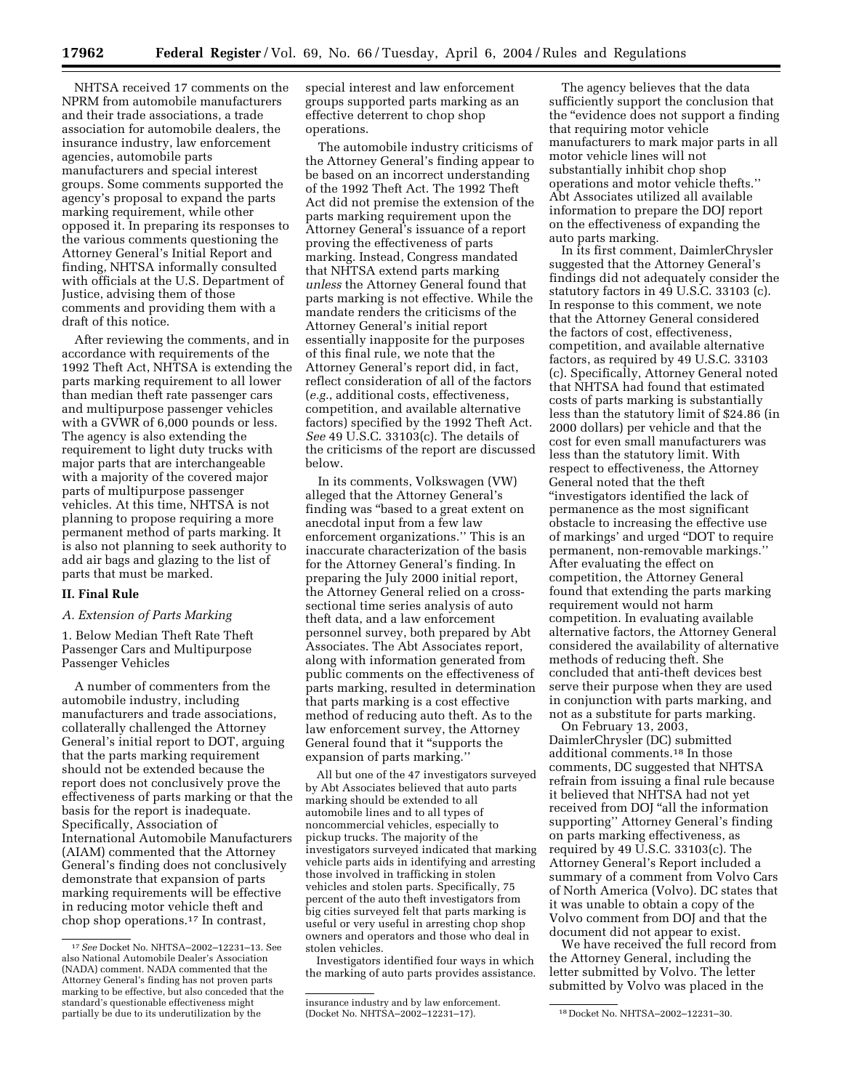NHTSA received 17 comments on the NPRM from automobile manufacturers and their trade associations, a trade association for automobile dealers, the insurance industry, law enforcement agencies, automobile parts manufacturers and special interest groups. Some comments supported the agency's proposal to expand the parts marking requirement, while other opposed it. In preparing its responses to the various comments questioning the Attorney General's Initial Report and finding, NHTSA informally consulted with officials at the U.S. Department of Justice, advising them of those comments and providing them with a draft of this notice.

After reviewing the comments, and in accordance with requirements of the 1992 Theft Act, NHTSA is extending the parts marking requirement to all lower than median theft rate passenger cars and multipurpose passenger vehicles with a GVWR of 6,000 pounds or less. The agency is also extending the requirement to light duty trucks with major parts that are interchangeable with a majority of the covered major parts of multipurpose passenger vehicles. At this time, NHTSA is not planning to propose requiring a more permanent method of parts marking. It is also not planning to seek authority to add air bags and glazing to the list of parts that must be marked.

### **II. Final Rule**

### *A. Extension of Parts Marking*

1. Below Median Theft Rate Theft Passenger Cars and Multipurpose Passenger Vehicles

A number of commenters from the automobile industry, including manufacturers and trade associations, collaterally challenged the Attorney General's initial report to DOT, arguing that the parts marking requirement should not be extended because the report does not conclusively prove the effectiveness of parts marking or that the basis for the report is inadequate. Specifically, Association of International Automobile Manufacturers (AIAM) commented that the Attorney General's finding does not conclusively demonstrate that expansion of parts marking requirements will be effective in reducing motor vehicle theft and chop shop operations.17 In contrast,

special interest and law enforcement groups supported parts marking as an effective deterrent to chop shop operations.

The automobile industry criticisms of the Attorney General's finding appear to be based on an incorrect understanding of the 1992 Theft Act. The 1992 Theft Act did not premise the extension of the parts marking requirement upon the Attorney General's issuance of a report proving the effectiveness of parts marking. Instead, Congress mandated that NHTSA extend parts marking *unless* the Attorney General found that parts marking is not effective. While the mandate renders the criticisms of the Attorney General's initial report essentially inapposite for the purposes of this final rule, we note that the Attorney General's report did, in fact, reflect consideration of all of the factors (*e.g.*, additional costs, effectiveness, competition, and available alternative factors) specified by the 1992 Theft Act. *See* 49 U.S.C. 33103(c). The details of the criticisms of the report are discussed below.

In its comments, Volkswagen (VW) alleged that the Attorney General's finding was "based to a great extent on anecdotal input from a few law enforcement organizations.'' This is an inaccurate characterization of the basis for the Attorney General's finding. In preparing the July 2000 initial report, the Attorney General relied on a crosssectional time series analysis of auto theft data, and a law enforcement personnel survey, both prepared by Abt Associates. The Abt Associates report, along with information generated from public comments on the effectiveness of parts marking, resulted in determination that parts marking is a cost effective method of reducing auto theft. As to the law enforcement survey, the Attorney General found that it ''supports the expansion of parts marking.''

All but one of the 47 investigators surveyed by Abt Associates believed that auto parts marking should be extended to all automobile lines and to all types of noncommercial vehicles, especially to pickup trucks. The majority of the investigators surveyed indicated that marking vehicle parts aids in identifying and arresting those involved in trafficking in stolen vehicles and stolen parts. Specifically, 75 percent of the auto theft investigators from big cities surveyed felt that parts marking is useful or very useful in arresting chop shop owners and operators and those who deal in stolen vehicles.

Investigators identified four ways in which the marking of auto parts provides assistance.

The agency believes that the data sufficiently support the conclusion that the ''evidence does not support a finding that requiring motor vehicle manufacturers to mark major parts in all motor vehicle lines will not substantially inhibit chop shop operations and motor vehicle thefts.'' Abt Associates utilized all available information to prepare the DOJ report on the effectiveness of expanding the auto parts marking.

In its first comment, DaimlerChrysler suggested that the Attorney General's findings did not adequately consider the statutory factors in 49 U.S.C. 33103 (c). In response to this comment, we note that the Attorney General considered the factors of cost, effectiveness, competition, and available alternative factors, as required by 49 U.S.C. 33103 (c). Specifically, Attorney General noted that NHTSA had found that estimated costs of parts marking is substantially less than the statutory limit of \$24.86 (in 2000 dollars) per vehicle and that the cost for even small manufacturers was less than the statutory limit. With respect to effectiveness, the Attorney General noted that the theft ''investigators identified the lack of permanence as the most significant obstacle to increasing the effective use of markings' and urged ''DOT to require permanent, non-removable markings.'' After evaluating the effect on competition, the Attorney General found that extending the parts marking requirement would not harm competition. In evaluating available alternative factors, the Attorney General considered the availability of alternative methods of reducing theft. She concluded that anti-theft devices best serve their purpose when they are used in conjunction with parts marking, and not as a substitute for parts marking.

On February 13, 2003, DaimlerChrysler (DC) submitted additional comments.18 In those comments, DC suggested that NHTSA refrain from issuing a final rule because it believed that NHTSA had not yet received from DOJ ''all the information supporting'' Attorney General's finding on parts marking effectiveness, as required by 49 U.S.C. 33103(c). The Attorney General's Report included a summary of a comment from Volvo Cars of North America (Volvo). DC states that it was unable to obtain a copy of the Volvo comment from DOJ and that the document did not appear to exist.

We have received the full record from the Attorney General, including the letter submitted by Volvo. The letter submitted by Volvo was placed in the

<sup>17</sup>*See* Docket No. NHTSA–2002–12231–13. See also National Automobile Dealer's Association (NADA) comment. NADA commented that the Attorney General's finding has not proven parts marking to be effective, but also conceded that the standard's questionable effectiveness might partially be due to its underutilization by the

insurance industry and by law enforcement. (Docket No. NHTSA–2002–12231–17). 18 Docket No. NHTSA–2002–12231–30.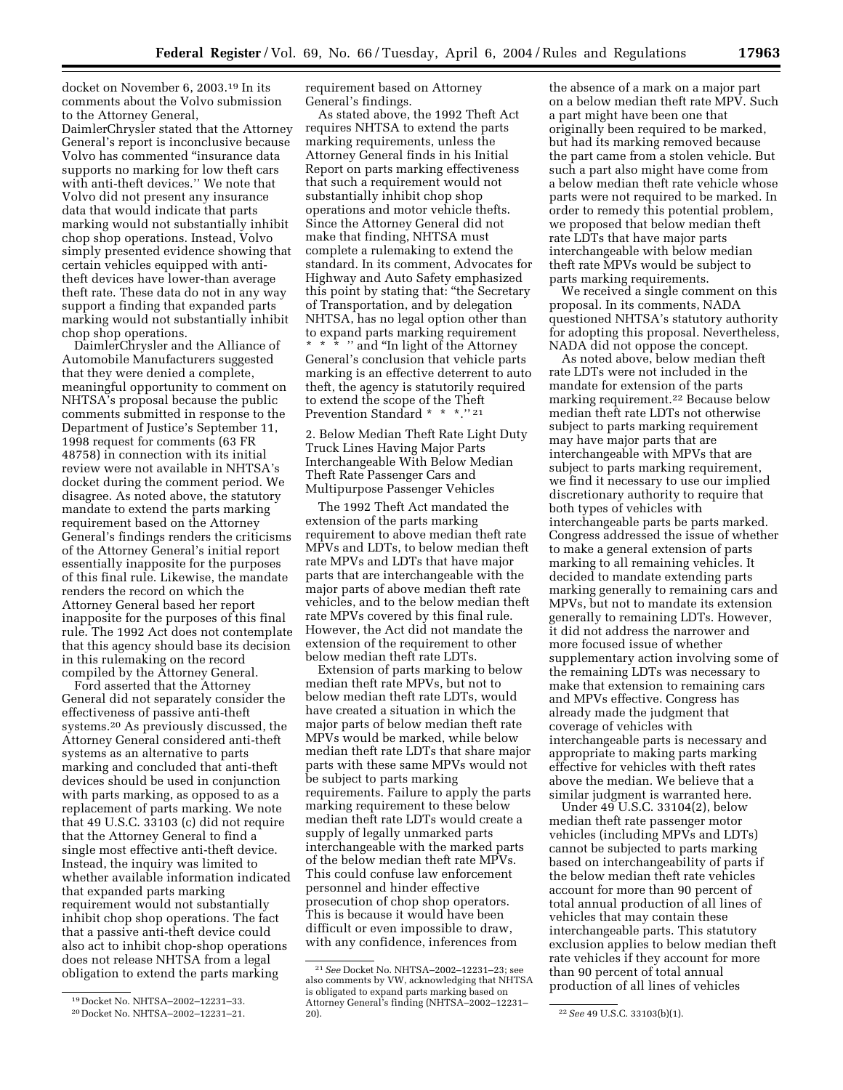docket on November 6, 2003.19 In its comments about the Volvo submission to the Attorney General, DaimlerChrysler stated that the Attorney

General's report is inconclusive because Volvo has commented ''insurance data supports no marking for low theft cars with anti-theft devices.'' We note that Volvo did not present any insurance data that would indicate that parts marking would not substantially inhibit chop shop operations. Instead, Volvo simply presented evidence showing that certain vehicles equipped with antitheft devices have lower-than average theft rate. These data do not in any way support a finding that expanded parts marking would not substantially inhibit chop shop operations.

DaimlerChrysler and the Alliance of Automobile Manufacturers suggested that they were denied a complete, meaningful opportunity to comment on NHTSA's proposal because the public comments submitted in response to the Department of Justice's September 11, 1998 request for comments (63 FR 48758) in connection with its initial review were not available in NHTSA's docket during the comment period. We disagree. As noted above, the statutory mandate to extend the parts marking requirement based on the Attorney General's findings renders the criticisms of the Attorney General's initial report essentially inapposite for the purposes of this final rule. Likewise, the mandate renders the record on which the Attorney General based her report inapposite for the purposes of this final rule. The 1992 Act does not contemplate that this agency should base its decision in this rulemaking on the record compiled by the Attorney General.

Ford asserted that the Attorney General did not separately consider the effectiveness of passive anti-theft systems.20 As previously discussed, the Attorney General considered anti-theft systems as an alternative to parts marking and concluded that anti-theft devices should be used in conjunction with parts marking, as opposed to as a replacement of parts marking. We note that 49 U.S.C. 33103 (c) did not require that the Attorney General to find a single most effective anti-theft device. Instead, the inquiry was limited to whether available information indicated that expanded parts marking requirement would not substantially inhibit chop shop operations. The fact that a passive anti-theft device could also act to inhibit chop-shop operations does not release NHTSA from a legal obligation to extend the parts marking

requirement based on Attorney General's findings.

As stated above, the 1992 Theft Act requires NHTSA to extend the parts marking requirements, unless the Attorney General finds in his Initial Report on parts marking effectiveness that such a requirement would not substantially inhibit chop shop operations and motor vehicle thefts. Since the Attorney General did not make that finding, NHTSA must complete a rulemaking to extend the standard. In its comment, Advocates for Highway and Auto Safety emphasized this point by stating that: "the Secretary of Transportation, and by delegation NHTSA, has no legal option other than to expand parts marking requirement \*\*\* '' and ''In light of the Attorney General's conclusion that vehicle parts marking is an effective deterrent to auto theft, the agency is statutorily required to extend the scope of the Theft Prevention Standard \* \* \*.'' 21

2. Below Median Theft Rate Light Duty Truck Lines Having Major Parts Interchangeable With Below Median Theft Rate Passenger Cars and Multipurpose Passenger Vehicles

The 1992 Theft Act mandated the extension of the parts marking requirement to above median theft rate MPVs and LDTs, to below median theft rate MPVs and LDTs that have major parts that are interchangeable with the major parts of above median theft rate vehicles, and to the below median theft rate MPVs covered by this final rule. However, the Act did not mandate the extension of the requirement to other below median theft rate LDTs.

Extension of parts marking to below median theft rate MPVs, but not to below median theft rate LDTs, would have created a situation in which the major parts of below median theft rate MPVs would be marked, while below median theft rate LDTs that share major parts with these same MPVs would not be subject to parts marking requirements. Failure to apply the parts marking requirement to these below median theft rate LDTs would create a supply of legally unmarked parts interchangeable with the marked parts of the below median theft rate MPVs. This could confuse law enforcement personnel and hinder effective prosecution of chop shop operators. This is because it would have been difficult or even impossible to draw, with any confidence, inferences from

the absence of a mark on a major part on a below median theft rate MPV. Such a part might have been one that originally been required to be marked, but had its marking removed because the part came from a stolen vehicle. But such a part also might have come from a below median theft rate vehicle whose parts were not required to be marked. In order to remedy this potential problem, we proposed that below median theft rate LDTs that have major parts interchangeable with below median theft rate MPVs would be subject to parts marking requirements.

We received a single comment on this proposal. In its comments, NADA questioned NHTSA's statutory authority for adopting this proposal. Nevertheless, NADA did not oppose the concept.

As noted above, below median theft rate LDTs were not included in the mandate for extension of the parts marking requirement.22 Because below median theft rate LDTs not otherwise subject to parts marking requirement may have major parts that are interchangeable with MPVs that are subject to parts marking requirement, we find it necessary to use our implied discretionary authority to require that both types of vehicles with interchangeable parts be parts marked. Congress addressed the issue of whether to make a general extension of parts marking to all remaining vehicles. It decided to mandate extending parts marking generally to remaining cars and MPVs, but not to mandate its extension generally to remaining LDTs. However, it did not address the narrower and more focused issue of whether supplementary action involving some of the remaining LDTs was necessary to make that extension to remaining cars and MPVs effective. Congress has already made the judgment that coverage of vehicles with interchangeable parts is necessary and appropriate to making parts marking effective for vehicles with theft rates above the median. We believe that a similar judgment is warranted here.

Under 49 U.S.C. 33104(2), below median theft rate passenger motor vehicles (including MPVs and LDTs) cannot be subjected to parts marking based on interchangeability of parts if the below median theft rate vehicles account for more than 90 percent of total annual production of all lines of vehicles that may contain these interchangeable parts. This statutory exclusion applies to below median theft rate vehicles if they account for more than 90 percent of total annual production of all lines of vehicles

<sup>19</sup> Docket No. NHTSA–2002–12231–33.

<sup>20</sup> Docket No. NHTSA–2002–12231–21.

<sup>21</sup>*See* Docket No. NHTSA–2002–12231–23; see also comments by VW, acknowledging that NHTSA is obligated to expand parts marking based on Attorney General's finding (NHTSA–2002–12231–

<sup>&</sup>lt;sup>22</sup> See 49 U.S.C. 33103(b)(1).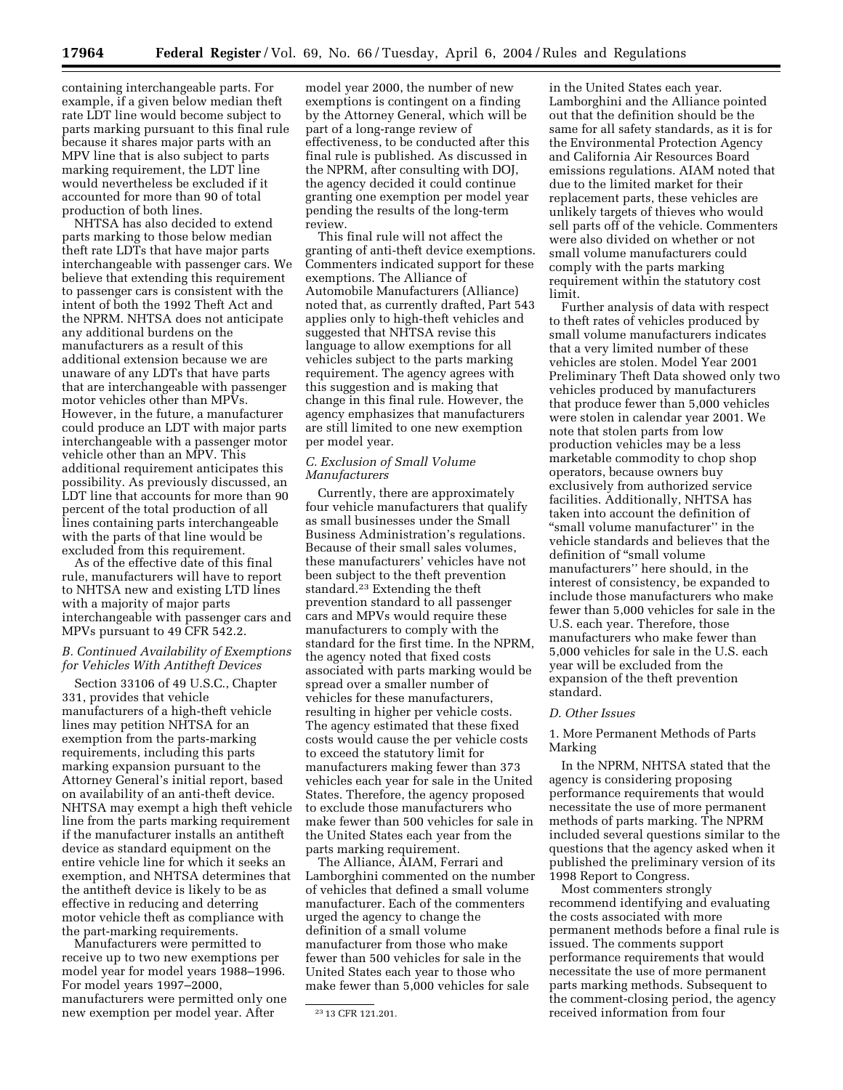containing interchangeable parts. For example, if a given below median theft rate LDT line would become subject to parts marking pursuant to this final rule because it shares major parts with an MPV line that is also subject to parts marking requirement, the LDT line would nevertheless be excluded if it accounted for more than 90 of total production of both lines.

NHTSA has also decided to extend parts marking to those below median theft rate LDTs that have major parts interchangeable with passenger cars. We believe that extending this requirement to passenger cars is consistent with the intent of both the 1992 Theft Act and the NPRM. NHTSA does not anticipate any additional burdens on the manufacturers as a result of this additional extension because we are unaware of any LDTs that have parts that are interchangeable with passenger motor vehicles other than MPVs. However, in the future, a manufacturer could produce an LDT with major parts interchangeable with a passenger motor vehicle other than an MPV. This additional requirement anticipates this possibility. As previously discussed, an LDT line that accounts for more than 90 percent of the total production of all lines containing parts interchangeable with the parts of that line would be excluded from this requirement.

As of the effective date of this final rule, manufacturers will have to report to NHTSA new and existing LTD lines with a majority of major parts interchangeable with passenger cars and MPVs pursuant to 49 CFR 542.2.

# *B. Continued Availability of Exemptions for Vehicles With Antitheft Devices*

Section 33106 of 49 U.S.C., Chapter 331, provides that vehicle manufacturers of a high-theft vehicle lines may petition NHTSA for an exemption from the parts-marking requirements, including this parts marking expansion pursuant to the Attorney General's initial report, based on availability of an anti-theft device. NHTSA may exempt a high theft vehicle line from the parts marking requirement if the manufacturer installs an antitheft device as standard equipment on the entire vehicle line for which it seeks an exemption, and NHTSA determines that the antitheft device is likely to be as effective in reducing and deterring motor vehicle theft as compliance with the part-marking requirements.

Manufacturers were permitted to receive up to two new exemptions per model year for model years 1988–1996. For model years 1997–2000, manufacturers were permitted only one new exemption per model year. After

model year 2000, the number of new exemptions is contingent on a finding by the Attorney General, which will be part of a long-range review of effectiveness, to be conducted after this final rule is published. As discussed in the NPRM, after consulting with DOJ, the agency decided it could continue granting one exemption per model year pending the results of the long-term review.

This final rule will not affect the granting of anti-theft device exemptions. Commenters indicated support for these exemptions. The Alliance of Automobile Manufacturers (Alliance) noted that, as currently drafted, Part 543 applies only to high-theft vehicles and suggested that NHTSA revise this language to allow exemptions for all vehicles subject to the parts marking requirement. The agency agrees with this suggestion and is making that change in this final rule. However, the agency emphasizes that manufacturers are still limited to one new exemption per model year.

# *C. Exclusion of Small Volume Manufacturers*

Currently, there are approximately four vehicle manufacturers that qualify as small businesses under the Small Business Administration's regulations. Because of their small sales volumes, these manufacturers' vehicles have not been subject to the theft prevention standard.<sup>23</sup> Extending the theft prevention standard to all passenger cars and MPVs would require these manufacturers to comply with the standard for the first time. In the NPRM, the agency noted that fixed costs associated with parts marking would be spread over a smaller number of vehicles for these manufacturers, resulting in higher per vehicle costs. The agency estimated that these fixed costs would cause the per vehicle costs to exceed the statutory limit for manufacturers making fewer than 373 vehicles each year for sale in the United States. Therefore, the agency proposed to exclude those manufacturers who make fewer than 500 vehicles for sale in the United States each year from the parts marking requirement.

The Alliance, AIAM, Ferrari and Lamborghini commented on the number of vehicles that defined a small volume manufacturer. Each of the commenters urged the agency to change the definition of a small volume manufacturer from those who make fewer than 500 vehicles for sale in the United States each year to those who make fewer than 5,000 vehicles for sale

in the United States each year. Lamborghini and the Alliance pointed out that the definition should be the same for all safety standards, as it is for the Environmental Protection Agency and California Air Resources Board emissions regulations. AIAM noted that due to the limited market for their replacement parts, these vehicles are unlikely targets of thieves who would sell parts off of the vehicle. Commenters were also divided on whether or not small volume manufacturers could comply with the parts marking requirement within the statutory cost limit.

Further analysis of data with respect to theft rates of vehicles produced by small volume manufacturers indicates that a very limited number of these vehicles are stolen. Model Year 2001 Preliminary Theft Data showed only two vehicles produced by manufacturers that produce fewer than 5,000 vehicles were stolen in calendar year 2001. We note that stolen parts from low production vehicles may be a less marketable commodity to chop shop operators, because owners buy exclusively from authorized service facilities. Additionally, NHTSA has taken into account the definition of "small volume manufacturer" in the vehicle standards and believes that the definition of ''small volume manufacturers'' here should, in the interest of consistency, be expanded to include those manufacturers who make fewer than 5,000 vehicles for sale in the U.S. each year. Therefore, those manufacturers who make fewer than 5,000 vehicles for sale in the U.S. each year will be excluded from the expansion of the theft prevention standard.

#### *D. Other Issues*

1. More Permanent Methods of Parts Marking

In the NPRM, NHTSA stated that the agency is considering proposing performance requirements that would necessitate the use of more permanent methods of parts marking. The NPRM included several questions similar to the questions that the agency asked when it published the preliminary version of its 1998 Report to Congress.

Most commenters strongly recommend identifying and evaluating the costs associated with more permanent methods before a final rule is issued. The comments support performance requirements that would necessitate the use of more permanent parts marking methods. Subsequent to the comment-closing period, the agency received information from four

<sup>23</sup> 13 CFR 121.201.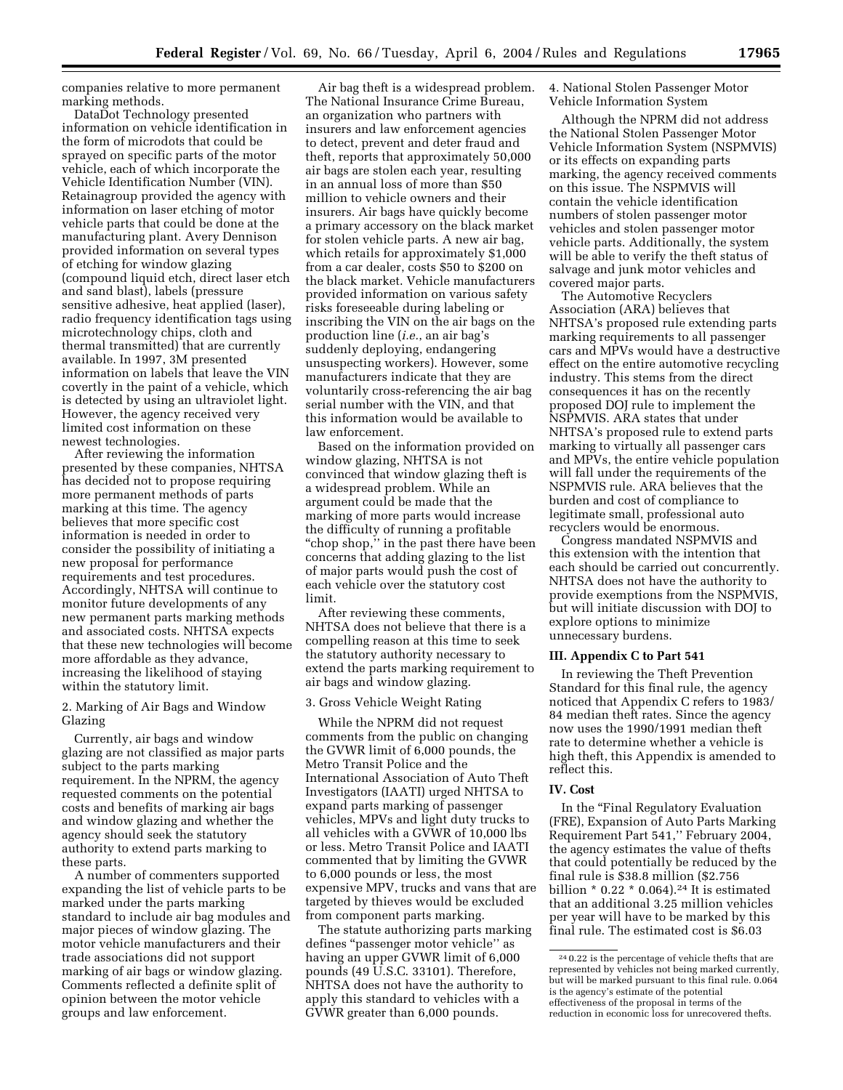companies relative to more permanent marking methods.

DataDot Technology presented information on vehicle identification in the form of microdots that could be sprayed on specific parts of the motor vehicle, each of which incorporate the Vehicle Identification Number (VIN). Retainagroup provided the agency with information on laser etching of motor vehicle parts that could be done at the manufacturing plant. Avery Dennison provided information on several types of etching for window glazing (compound liquid etch, direct laser etch and sand blast), labels (pressure sensitive adhesive, heat applied (laser), radio frequency identification tags using microtechnology chips, cloth and thermal transmitted) that are currently available. In 1997, 3M presented information on labels that leave the VIN covertly in the paint of a vehicle, which is detected by using an ultraviolet light. However, the agency received very limited cost information on these newest technologies.

After reviewing the information presented by these companies, NHTSA has decided not to propose requiring more permanent methods of parts marking at this time. The agency believes that more specific cost information is needed in order to consider the possibility of initiating a new proposal for performance requirements and test procedures. Accordingly, NHTSA will continue to monitor future developments of any new permanent parts marking methods and associated costs. NHTSA expects that these new technologies will become more affordable as they advance, increasing the likelihood of staying within the statutory limit.

2. Marking of Air Bags and Window Glazing

Currently, air bags and window glazing are not classified as major parts subject to the parts marking requirement. In the NPRM, the agency requested comments on the potential costs and benefits of marking air bags and window glazing and whether the agency should seek the statutory authority to extend parts marking to these parts.

A number of commenters supported expanding the list of vehicle parts to be marked under the parts marking standard to include air bag modules and major pieces of window glazing. The motor vehicle manufacturers and their trade associations did not support marking of air bags or window glazing. Comments reflected a definite split of opinion between the motor vehicle groups and law enforcement.

Air bag theft is a widespread problem. The National Insurance Crime Bureau, an organization who partners with insurers and law enforcement agencies to detect, prevent and deter fraud and theft, reports that approximately 50,000 air bags are stolen each year, resulting in an annual loss of more than \$50 million to vehicle owners and their insurers. Air bags have quickly become a primary accessory on the black market for stolen vehicle parts. A new air bag, which retails for approximately \$1,000 from a car dealer, costs \$50 to \$200 on the black market. Vehicle manufacturers provided information on various safety risks foreseeable during labeling or inscribing the VIN on the air bags on the production line (*i.e.*, an air bag's suddenly deploying, endangering unsuspecting workers). However, some manufacturers indicate that they are voluntarily cross-referencing the air bag serial number with the VIN, and that this information would be available to law enforcement.

Based on the information provided on window glazing, NHTSA is not convinced that window glazing theft is a widespread problem. While an argument could be made that the marking of more parts would increase the difficulty of running a profitable "chop shop," in the past there have been concerns that adding glazing to the list of major parts would push the cost of each vehicle over the statutory cost limit.

After reviewing these comments, NHTSA does not believe that there is a compelling reason at this time to seek the statutory authority necessary to extend the parts marking requirement to air bags and window glazing.

### 3. Gross Vehicle Weight Rating

While the NPRM did not request comments from the public on changing the GVWR limit of 6,000 pounds, the Metro Transit Police and the International Association of Auto Theft Investigators (IAATI) urged NHTSA to expand parts marking of passenger vehicles, MPVs and light duty trucks to all vehicles with a GVWR of 10,000 lbs or less. Metro Transit Police and IAATI commented that by limiting the GVWR to 6,000 pounds or less, the most expensive MPV, trucks and vans that are targeted by thieves would be excluded from component parts marking.

The statute authorizing parts marking defines ''passenger motor vehicle'' as having an upper GVWR limit of 6,000 pounds  $(49 \text{ U.S.C. } 33101)$ . Therefore, NHTSA does not have the authority to apply this standard to vehicles with a GVWR greater than 6,000 pounds.

4. National Stolen Passenger Motor Vehicle Information System

Although the NPRM did not address the National Stolen Passenger Motor Vehicle Information System (NSPMVIS) or its effects on expanding parts marking, the agency received comments on this issue. The NSPMVIS will contain the vehicle identification numbers of stolen passenger motor vehicles and stolen passenger motor vehicle parts. Additionally, the system will be able to verify the theft status of salvage and junk motor vehicles and covered major parts.

The Automotive Recyclers Association (ARA) believes that NHTSA's proposed rule extending parts marking requirements to all passenger cars and MPVs would have a destructive effect on the entire automotive recycling industry. This stems from the direct consequences it has on the recently proposed DOJ rule to implement the NSPMVIS. ARA states that under NHTSA's proposed rule to extend parts marking to virtually all passenger cars and MPVs, the entire vehicle population will fall under the requirements of the NSPMVIS rule. ARA believes that the burden and cost of compliance to legitimate small, professional auto recyclers would be enormous.

Congress mandated NSPMVIS and this extension with the intention that each should be carried out concurrently. NHTSA does not have the authority to provide exemptions from the NSPMVIS, but will initiate discussion with DOJ to explore options to minimize unnecessary burdens.

# **III. Appendix C to Part 541**

In reviewing the Theft Prevention Standard for this final rule, the agency noticed that Appendix C refers to 1983/ 84 median theft rates. Since the agency now uses the 1990/1991 median theft rate to determine whether a vehicle is high theft, this Appendix is amended to reflect this.

#### **IV. Cost**

In the "Final Regulatory Evaluation (FRE), Expansion of Auto Parts Marking Requirement Part 541,'' February 2004, the agency estimates the value of thefts that could potentially be reduced by the final rule is \$38.8 million (\$2.756 billion  $*$  0.22  $*$  0.064).<sup>24</sup> It is estimated that an additional 3.25 million vehicles per year will have to be marked by this final rule. The estimated cost is \$6.03

<sup>24</sup> 0.22 is the percentage of vehicle thefts that are represented by vehicles not being marked currently, but will be marked pursuant to this final rule. 0.064 is the agency's estimate of the potential effectiveness of the proposal in terms of the reduction in economic loss for unrecovered thefts.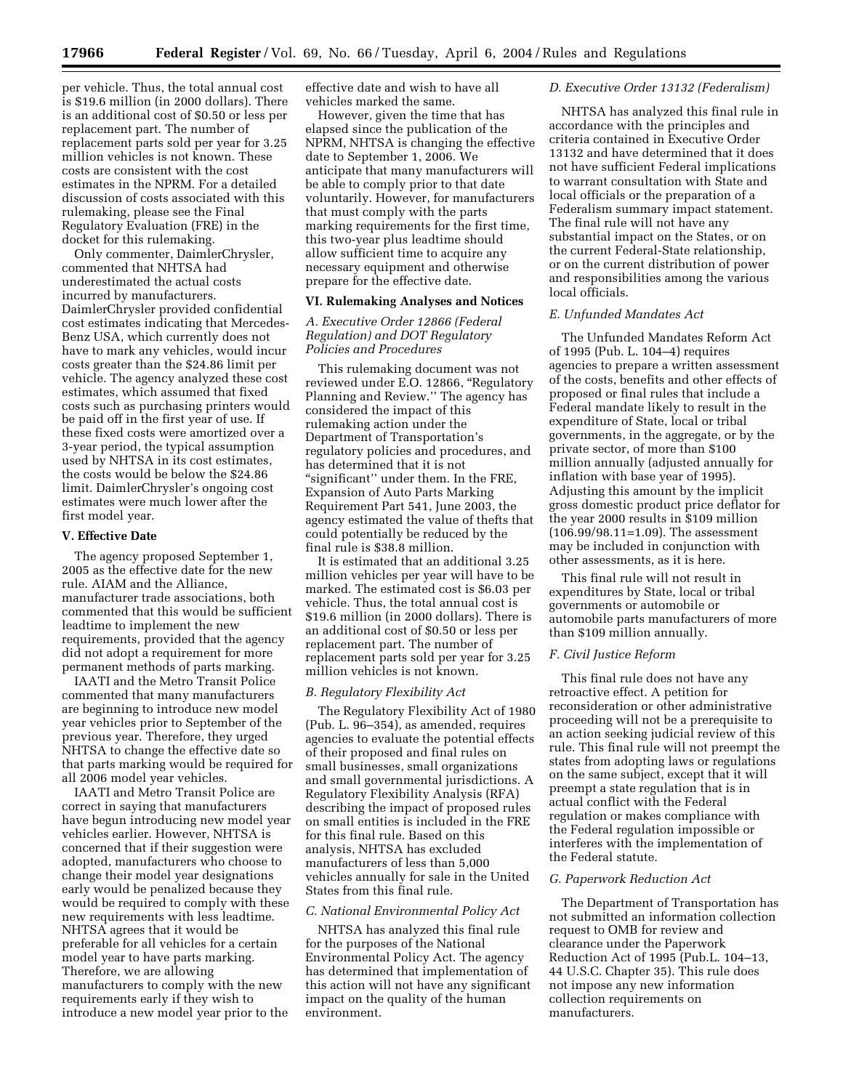per vehicle. Thus, the total annual cost is \$19.6 million (in 2000 dollars). There is an additional cost of \$0.50 or less per replacement part. The number of replacement parts sold per year for 3.25 million vehicles is not known. These costs are consistent with the cost estimates in the NPRM. For a detailed discussion of costs associated with this rulemaking, please see the Final Regulatory Evaluation (FRE) in the docket for this rulemaking.

Only commenter, DaimlerChrysler, commented that NHTSA had underestimated the actual costs incurred by manufacturers. DaimlerChrysler provided confidential cost estimates indicating that Mercedes-Benz USA, which currently does not have to mark any vehicles, would incur costs greater than the \$24.86 limit per vehicle. The agency analyzed these cost estimates, which assumed that fixed costs such as purchasing printers would be paid off in the first year of use. If these fixed costs were amortized over a 3-year period, the typical assumption used by NHTSA in its cost estimates, the costs would be below the \$24.86 limit. DaimlerChrysler's ongoing cost estimates were much lower after the first model year.

#### **V. Effective Date**

The agency proposed September 1, 2005 as the effective date for the new rule. AIAM and the Alliance, manufacturer trade associations, both commented that this would be sufficient leadtime to implement the new requirements, provided that the agency did not adopt a requirement for more permanent methods of parts marking.

IAATI and the Metro Transit Police commented that many manufacturers are beginning to introduce new model year vehicles prior to September of the previous year. Therefore, they urged NHTSA to change the effective date so that parts marking would be required for all 2006 model year vehicles.

IAATI and Metro Transit Police are correct in saying that manufacturers have begun introducing new model year vehicles earlier. However, NHTSA is concerned that if their suggestion were adopted, manufacturers who choose to change their model year designations early would be penalized because they would be required to comply with these new requirements with less leadtime. NHTSA agrees that it would be preferable for all vehicles for a certain model year to have parts marking. Therefore, we are allowing manufacturers to comply with the new requirements early if they wish to introduce a new model year prior to the

effective date and wish to have all vehicles marked the same.

However, given the time that has elapsed since the publication of the NPRM, NHTSA is changing the effective date to September 1, 2006. We anticipate that many manufacturers will be able to comply prior to that date voluntarily. However, for manufacturers that must comply with the parts marking requirements for the first time, this two-year plus leadtime should allow sufficient time to acquire any necessary equipment and otherwise prepare for the effective date.

### **VI. Rulemaking Analyses and Notices**

# *A. Executive Order 12866 (Federal Regulation) and DOT Regulatory Policies and Procedures*

This rulemaking document was not reviewed under E.O. 12866, ''Regulatory Planning and Review.'' The agency has considered the impact of this rulemaking action under the Department of Transportation's regulatory policies and procedures, and has determined that it is not "significant" under them. In the FRE, Expansion of Auto Parts Marking Requirement Part 541, June 2003, the agency estimated the value of thefts that could potentially be reduced by the final rule is \$38.8 million.

It is estimated that an additional 3.25 million vehicles per year will have to be marked. The estimated cost is \$6.03 per vehicle. Thus, the total annual cost is \$19.6 million (in 2000 dollars). There is an additional cost of \$0.50 or less per replacement part. The number of replacement parts sold per year for 3.25 million vehicles is not known.

#### *B. Regulatory Flexibility Act*

The Regulatory Flexibility Act of 1980 (Pub. L. 96–354), as amended, requires agencies to evaluate the potential effects of their proposed and final rules on small businesses, small organizations and small governmental jurisdictions. A Regulatory Flexibility Analysis (RFA) describing the impact of proposed rules on small entities is included in the FRE for this final rule. Based on this analysis, NHTSA has excluded manufacturers of less than 5,000 vehicles annually for sale in the United States from this final rule.

### *C. National Environmental Policy Act*

NHTSA has analyzed this final rule for the purposes of the National Environmental Policy Act. The agency has determined that implementation of this action will not have any significant impact on the quality of the human environment.

#### *D. Executive Order 13132 (Federalism)*

NHTSA has analyzed this final rule in accordance with the principles and criteria contained in Executive Order 13132 and have determined that it does not have sufficient Federal implications to warrant consultation with State and local officials or the preparation of a Federalism summary impact statement. The final rule will not have any substantial impact on the States, or on the current Federal-State relationship, or on the current distribution of power and responsibilities among the various local officials.

#### *E. Unfunded Mandates Act*

The Unfunded Mandates Reform Act of 1995 (Pub. L. 104–4) requires agencies to prepare a written assessment of the costs, benefits and other effects of proposed or final rules that include a Federal mandate likely to result in the expenditure of State, local or tribal governments, in the aggregate, or by the private sector, of more than \$100 million annually (adjusted annually for inflation with base year of 1995). Adjusting this amount by the implicit gross domestic product price deflator for the year 2000 results in \$109 million (106.99/98.11=1.09). The assessment may be included in conjunction with other assessments, as it is here.

This final rule will not result in expenditures by State, local or tribal governments or automobile or automobile parts manufacturers of more than \$109 million annually.

#### *F. Civil Justice Reform*

This final rule does not have any retroactive effect. A petition for reconsideration or other administrative proceeding will not be a prerequisite to an action seeking judicial review of this rule. This final rule will not preempt the states from adopting laws or regulations on the same subject, except that it will preempt a state regulation that is in actual conflict with the Federal regulation or makes compliance with the Federal regulation impossible or interferes with the implementation of the Federal statute.

#### *G. Paperwork Reduction Act*

The Department of Transportation has not submitted an information collection request to OMB for review and clearance under the Paperwork Reduction Act of 1995 (Pub.L. 104–13, 44 U.S.C. Chapter 35). This rule does not impose any new information collection requirements on manufacturers.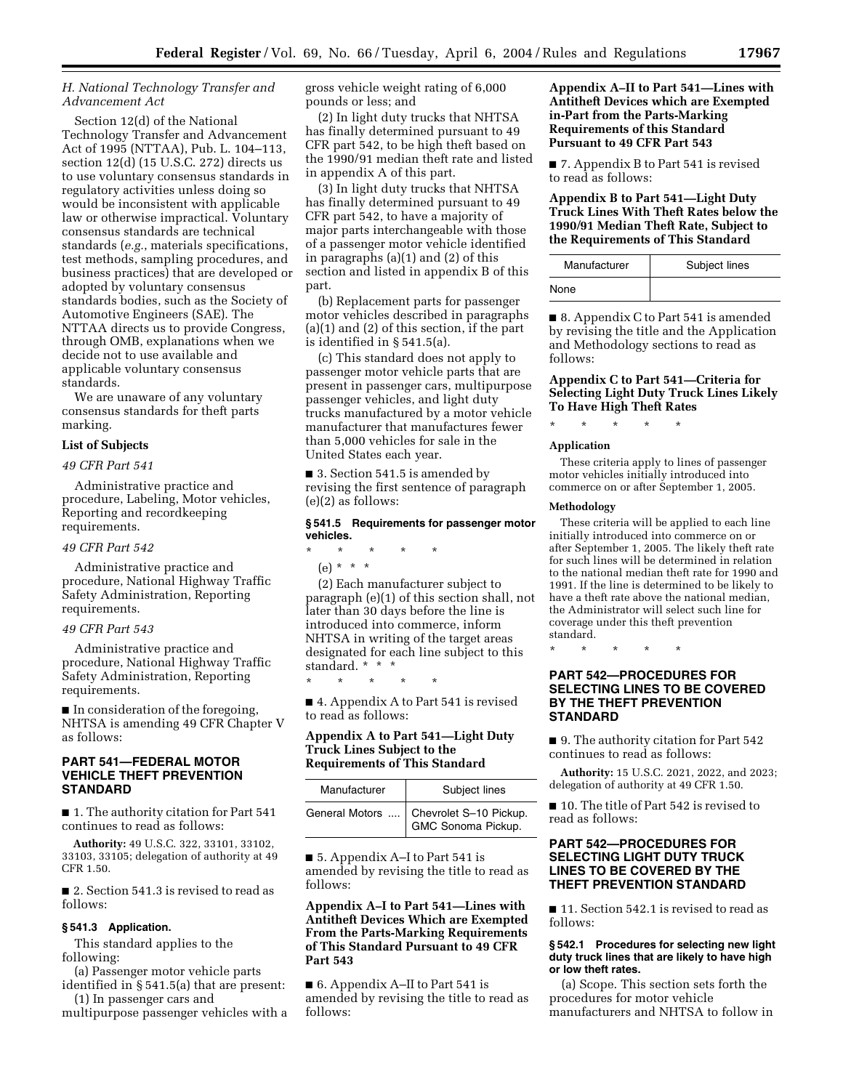# *H. National Technology Transfer and Advancement Act*

Section 12(d) of the National Technology Transfer and Advancement Act of 1995 (NTTAA), Pub. L. 104–113, section 12(d) (15 U.S.C. 272) directs us to use voluntary consensus standards in regulatory activities unless doing so would be inconsistent with applicable law or otherwise impractical. Voluntary consensus standards are technical standards (*e.g.*, materials specifications, test methods, sampling procedures, and business practices) that are developed or adopted by voluntary consensus standards bodies, such as the Society of Automotive Engineers (SAE). The NTTAA directs us to provide Congress, through OMB, explanations when we decide not to use available and applicable voluntary consensus standards.

We are unaware of any voluntary consensus standards for theft parts marking.

### **List of Subjects**

#### *49 CFR Part 541*

Administrative practice and procedure, Labeling, Motor vehicles, Reporting and recordkeeping requirements.

#### *49 CFR Part 542*

Administrative practice and procedure, National Highway Traffic Safety Administration, Reporting requirements.

#### *49 CFR Part 543*

Administrative practice and procedure, National Highway Traffic Safety Administration, Reporting requirements.

■ In consideration of the foregoing, NHTSA is amending 49 CFR Chapter V as follows:

# **PART 541—FEDERAL MOTOR VEHICLE THEFT PREVENTION STANDARD**

■ 1. The authority citation for Part 541 continues to read as follows:

**Authority:** 49 U.S.C. 322, 33101, 33102, 33103, 33105; delegation of authority at 49 CFR 1.50.

■ 2. Section 541.3 is revised to read as follows:

#### **§ 541.3 Application.**

This standard applies to the following:

(a) Passenger motor vehicle parts identified in § 541.5(a) that are present:

(1) In passenger cars and multipurpose passenger vehicles with a gross vehicle weight rating of 6,000 pounds or less; and

(2) In light duty trucks that NHTSA has finally determined pursuant to 49 CFR part 542, to be high theft based on the 1990/91 median theft rate and listed in appendix A of this part.

(3) In light duty trucks that NHTSA has finally determined pursuant to 49 CFR part 542, to have a majority of major parts interchangeable with those of a passenger motor vehicle identified in paragraphs (a)(1) and (2) of this section and listed in appendix B of this part.

(b) Replacement parts for passenger motor vehicles described in paragraphs (a)(1) and (2) of this section, if the part is identified in § 541.5(a).

(c) This standard does not apply to passenger motor vehicle parts that are present in passenger cars, multipurpose passenger vehicles, and light duty trucks manufactured by a motor vehicle manufacturer that manufactures fewer than 5,000 vehicles for sale in the United States each year.

■ 3. Section 541.5 is amended by revising the first sentence of paragraph (e)(2) as follows:

#### **§ 541.5 Requirements for passenger motor vehicles.**

#### \* \* \* \* \*

(e) \* \* \*

(2) Each manufacturer subject to paragraph (e)(1) of this section shall, not later than 30 days before the line is introduced into commerce, inform NHTSA in writing of the target areas designated for each line subject to this standard. \* \* \*

■ 4. Appendix A to Part 541 is revised to read as follows:

\* \* \* \* \*

# **Appendix A to Part 541—Light Duty Truck Lines Subject to the Requirements of This Standard**

| Manufacturer | Subject lines                                                |
|--------------|--------------------------------------------------------------|
|              | General Motors  Chevrolet S-10 Pickup.<br>GMC Sonoma Pickup. |

■ 5. Appendix A–I to Part 541 is amended by revising the title to read as follows:

# **Appendix A–I to Part 541—Lines with Antitheft Devices Which are Exempted From the Parts-Marking Requirements of This Standard Pursuant to 49 CFR Part 543**

■ 6. Appendix A–II to Part 541 is amended by revising the title to read as follows:

# **Appendix A–II to Part 541—Lines with Antitheft Devices which are Exempted in-Part from the Parts-Marking Requirements of this Standard Pursuant to 49 CFR Part 543**

■ 7. Appendix B to Part 541 is revised to read as follows:

# **Appendix B to Part 541—Light Duty Truck Lines With Theft Rates below the 1990/91 Median Theft Rate, Subject to the Requirements of This Standard**

| Manufacturer | Subject lines |
|--------------|---------------|
| None         |               |

■ 8. Appendix C to Part 541 is amended by revising the title and the Application and Methodology sections to read as follows:

# **Appendix C to Part 541—Criteria for Selecting Light Duty Truck Lines Likely To Have High Theft Rates**

\* \* \* \* \*

# **Application**

These criteria apply to lines of passenger motor vehicles initially introduced into commerce on or after September 1, 2005.

#### **Methodology**

These criteria will be applied to each line initially introduced into commerce on or after September 1, 2005. The likely theft rate for such lines will be determined in relation to the national median theft rate for 1990 and 1991. If the line is determined to be likely to have a theft rate above the national median, the Administrator will select such line for coverage under this theft prevention standard.

\* \* \* \* \*

# **PART 542—PROCEDURES FOR SELECTING LINES TO BE COVERED BY THE THEFT PREVENTION STANDARD**

■ 9. The authority citation for Part 542 continues to read as follows:

**Authority:** 15 U.S.C. 2021, 2022, and 2023; delegation of authority at 49 CFR 1.50.

■ 10. The title of Part 542 is revised to read as follows:

# **PART 542—PROCEDURES FOR SELECTING LIGHT DUTY TRUCK LINES TO BE COVERED BY THE THEFT PREVENTION STANDARD**

■ 11. Section 542.1 is revised to read as follows:

#### **§ 542.1 Procedures for selecting new light duty truck lines that are likely to have high or low theft rates.**

(a) Scope. This section sets forth the procedures for motor vehicle manufacturers and NHTSA to follow in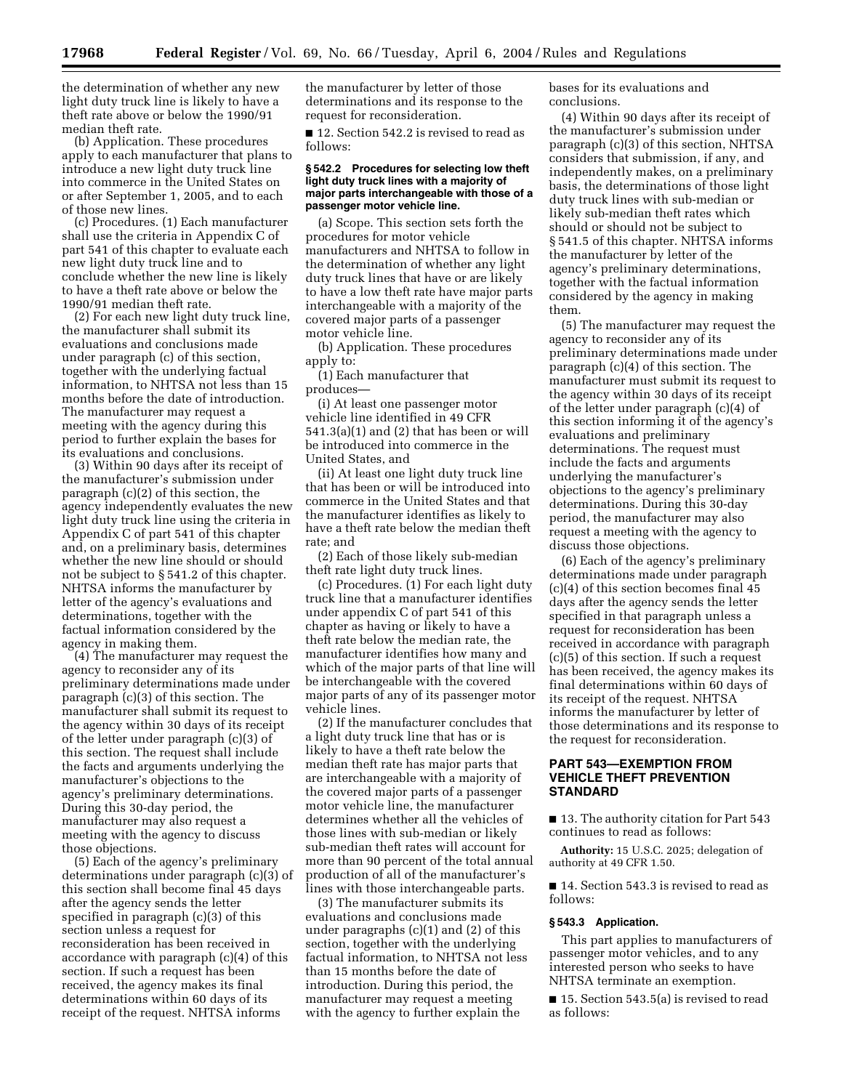the determination of whether any new light duty truck line is likely to have a theft rate above or below the 1990/91 median theft rate.

(b) Application. These procedures apply to each manufacturer that plans to introduce a new light duty truck line into commerce in the United States on or after September 1, 2005, and to each of those new lines.

(c) Procedures. (1) Each manufacturer shall use the criteria in Appendix C of part 541 of this chapter to evaluate each new light duty truck line and to conclude whether the new line is likely to have a theft rate above or below the 1990/91 median theft rate.

(2) For each new light duty truck line, the manufacturer shall submit its evaluations and conclusions made under paragraph (c) of this section, together with the underlying factual information, to NHTSA not less than 15 months before the date of introduction. The manufacturer may request a meeting with the agency during this period to further explain the bases for its evaluations and conclusions.

(3) Within 90 days after its receipt of the manufacturer's submission under paragraph (c)(2) of this section, the agency independently evaluates the new light duty truck line using the criteria in Appendix C of part 541 of this chapter and, on a preliminary basis, determines whether the new line should or should not be subject to § 541.2 of this chapter. NHTSA informs the manufacturer by letter of the agency's evaluations and determinations, together with the factual information considered by the agency in making them.

(4) The manufacturer may request the agency to reconsider any of its preliminary determinations made under paragraph (c)(3) of this section. The manufacturer shall submit its request to the agency within 30 days of its receipt of the letter under paragraph (c)(3) of this section. The request shall include the facts and arguments underlying the manufacturer's objections to the agency's preliminary determinations. During this 30-day period, the manufacturer may also request a meeting with the agency to discuss those objections.

(5) Each of the agency's preliminary determinations under paragraph (c)(3) of this section shall become final 45 days after the agency sends the letter specified in paragraph (c)(3) of this section unless a request for reconsideration has been received in accordance with paragraph (c)(4) of this section. If such a request has been received, the agency makes its final determinations within 60 days of its receipt of the request. NHTSA informs

the manufacturer by letter of those determinations and its response to the request for reconsideration.

■ 12. Section 542.2 is revised to read as follows:

#### **§ 542.2 Procedures for selecting low theft light duty truck lines with a majority of major parts interchangeable with those of a passenger motor vehicle line.**

(a) Scope. This section sets forth the procedures for motor vehicle manufacturers and NHTSA to follow in the determination of whether any light duty truck lines that have or are likely to have a low theft rate have major parts interchangeable with a majority of the covered major parts of a passenger motor vehicle line.

(b) Application. These procedures apply to:

(1) Each manufacturer that produces—

(i) At least one passenger motor vehicle line identified in 49 CFR 541.3(a)(1) and (2) that has been or will be introduced into commerce in the United States, and

(ii) At least one light duty truck line that has been or will be introduced into commerce in the United States and that the manufacturer identifies as likely to have a theft rate below the median theft rate; and

(2) Each of those likely sub-median theft rate light duty truck lines.

(c) Procedures. (1) For each light duty truck line that a manufacturer identifies under appendix C of part 541 of this chapter as having or likely to have a theft rate below the median rate, the manufacturer identifies how many and which of the major parts of that line will be interchangeable with the covered major parts of any of its passenger motor vehicle lines.

(2) If the manufacturer concludes that a light duty truck line that has or is likely to have a theft rate below the median theft rate has major parts that are interchangeable with a majority of the covered major parts of a passenger motor vehicle line, the manufacturer determines whether all the vehicles of those lines with sub-median or likely sub-median theft rates will account for more than 90 percent of the total annual production of all of the manufacturer's lines with those interchangeable parts.

(3) The manufacturer submits its evaluations and conclusions made under paragraphs (c)(1) and (2) of this section, together with the underlying factual information, to NHTSA not less than 15 months before the date of introduction. During this period, the manufacturer may request a meeting with the agency to further explain the

bases for its evaluations and conclusions.

(4) Within 90 days after its receipt of the manufacturer's submission under paragraph (c)(3) of this section, NHTSA considers that submission, if any, and independently makes, on a preliminary basis, the determinations of those light duty truck lines with sub-median or likely sub-median theft rates which should or should not be subject to § 541.5 of this chapter. NHTSA informs the manufacturer by letter of the agency's preliminary determinations, together with the factual information considered by the agency in making them.

(5) The manufacturer may request the agency to reconsider any of its preliminary determinations made under paragraph (c)(4) of this section. The manufacturer must submit its request to the agency within 30 days of its receipt of the letter under paragraph (c)(4) of this section informing it of the agency's evaluations and preliminary determinations. The request must include the facts and arguments underlying the manufacturer's objections to the agency's preliminary determinations. During this 30-day period, the manufacturer may also request a meeting with the agency to discuss those objections.

(6) Each of the agency's preliminary determinations made under paragraph (c)(4) of this section becomes final 45 days after the agency sends the letter specified in that paragraph unless a request for reconsideration has been received in accordance with paragraph (c)(5) of this section. If such a request has been received, the agency makes its final determinations within 60 days of its receipt of the request. NHTSA informs the manufacturer by letter of those determinations and its response to the request for reconsideration.

# **PART 543—EXEMPTION FROM VEHICLE THEFT PREVENTION STANDARD**

■ 13. The authority citation for Part 543 continues to read as follows:

**Authority:** 15 U.S.C. 2025; delegation of authority at 49 CFR 1.50.

■ 14. Section 543.3 is revised to read as follows:

### **§ 543.3 Application.**

This part applies to manufacturers of passenger motor vehicles, and to any interested person who seeks to have NHTSA terminate an exemption.

■ 15. Section 543.5(a) is revised to read as follows: